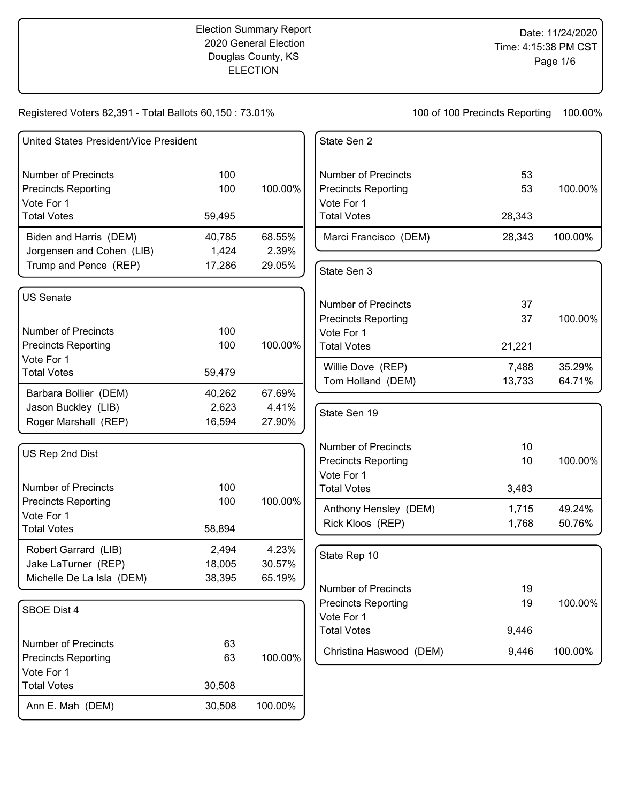## Election Summary Report 2020 General Election Douglas County, KS **ELECTION**

Registered Voters 82,391 - Total Ballots 60,150 : 73.01%

| United States President/Vice President                                       |                           |                           | State Sen 2                                                                                  |                    |                  |
|------------------------------------------------------------------------------|---------------------------|---------------------------|----------------------------------------------------------------------------------------------|--------------------|------------------|
| <b>Number of Precincts</b><br><b>Precincts Reporting</b><br>Vote For 1       | 100<br>100                | 100.00%                   | <b>Number of Precincts</b><br><b>Precincts Reporting</b><br>Vote For 1                       | 53<br>53           | 100.00%          |
| <b>Total Votes</b>                                                           | 59,495                    |                           | <b>Total Votes</b>                                                                           | 28,343             |                  |
| Biden and Harris (DEM)<br>Jorgensen and Cohen (LIB)                          | 40,785<br>1,424           | 68.55%<br>2.39%           | Marci Francisco (DEM)                                                                        | 28,343             | 100.00%          |
| Trump and Pence (REP)                                                        | 17,286                    | 29.05%                    | State Sen 3                                                                                  |                    |                  |
| <b>US Senate</b><br><b>Number of Precincts</b><br><b>Precincts Reporting</b> | 100<br>100                | 100.00%                   | <b>Number of Precincts</b><br><b>Precincts Reporting</b><br>Vote For 1<br><b>Total Votes</b> | 37<br>37<br>21,221 | 100.00%          |
| Vote For 1<br><b>Total Votes</b>                                             | 59,479                    |                           | Willie Dove (REP)                                                                            | 7,488              | 35.29%           |
| Barbara Bollier (DEM)                                                        | 40,262                    | 67.69%                    | Tom Holland (DEM)                                                                            | 13,733             | 64.71%           |
| Jason Buckley (LIB)<br>Roger Marshall (REP)                                  | 2,623<br>16,594           | 4.41%<br>27.90%           | State Sen 19                                                                                 |                    |                  |
| US Rep 2nd Dist                                                              |                           |                           | <b>Number of Precincts</b><br><b>Precincts Reporting</b><br>Vote For 1                       | 10<br>10           | 100.00%          |
| <b>Number of Precincts</b>                                                   | 100                       |                           | <b>Total Votes</b>                                                                           | 3,483              |                  |
| <b>Precincts Reporting</b><br>Vote For 1<br><b>Total Votes</b>               | 100<br>58,894             | 100.00%                   | Anthony Hensley (DEM)<br>Rick Kloos (REP)                                                    | 1,715<br>1,768     | 49.24%<br>50.76% |
| Robert Garrard (LIB)<br>Jake LaTurner (REP)<br>Michelle De La Isla (DEM)     | 2,494<br>18,005<br>38,395 | 4.23%<br>30.57%<br>65.19% | State Rep 10                                                                                 |                    |                  |
| SBOE Dist 4                                                                  |                           |                           | Number of Precincts<br><b>Precincts Reporting</b><br>Vote For 1                              | 19<br>19           | 100.00%          |
|                                                                              |                           |                           | <b>Total Votes</b>                                                                           | 9,446              |                  |
| <b>Number of Precincts</b><br><b>Precincts Reporting</b><br>Vote For 1       | 63<br>63                  | 100.00%                   | Christina Haswood (DEM)                                                                      | 9,446              | 100.00%          |
| <b>Total Votes</b>                                                           | 30,508                    |                           |                                                                                              |                    |                  |
| Ann E. Mah (DEM)                                                             | 30,508                    | 100.00%                   |                                                                                              |                    |                  |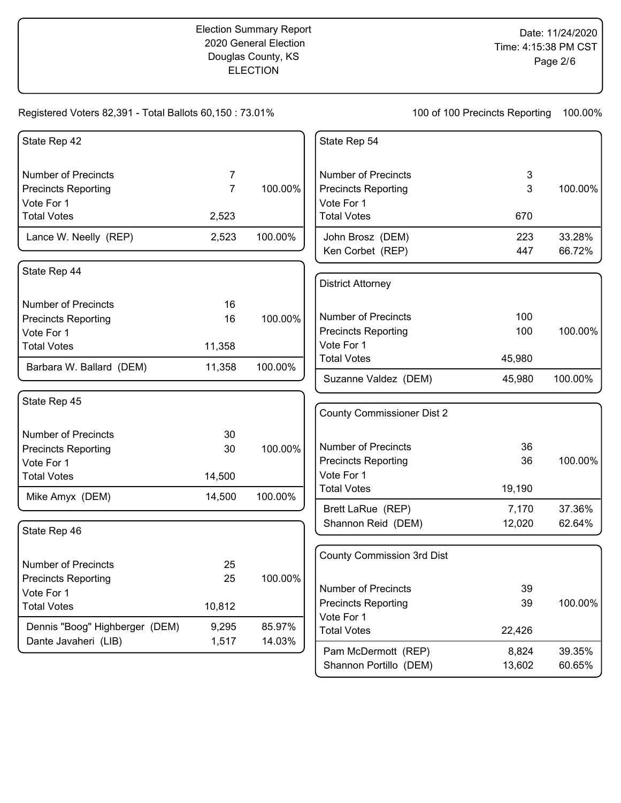Registered Voters 82,391 - Total Ballots 60,150 : 73.01%

| State Rep 42                   |                |         | State Rep 54                      |        |         |
|--------------------------------|----------------|---------|-----------------------------------|--------|---------|
| <b>Number of Precincts</b>     | 7              |         | <b>Number of Precincts</b>        | 3      |         |
| <b>Precincts Reporting</b>     | $\overline{7}$ | 100.00% | <b>Precincts Reporting</b>        | 3      | 100.00% |
| Vote For 1                     |                |         | Vote For 1                        |        |         |
| <b>Total Votes</b>             | 2,523          |         | <b>Total Votes</b>                | 670    |         |
| Lance W. Neelly (REP)          | 2,523          | 100.00% | John Brosz (DEM)                  | 223    | 33.28%  |
|                                |                |         | Ken Corbet (REP)                  | 447    | 66.72%  |
| State Rep 44                   |                |         |                                   |        |         |
|                                |                |         | <b>District Attorney</b>          |        |         |
| <b>Number of Precincts</b>     | 16             |         |                                   |        |         |
| <b>Precincts Reporting</b>     | 16             | 100.00% | <b>Number of Precincts</b>        | 100    |         |
| Vote For 1                     |                |         | <b>Precincts Reporting</b>        | 100    | 100.00% |
| <b>Total Votes</b>             | 11,358         |         | Vote For 1                        |        |         |
| Barbara W. Ballard (DEM)       | 11,358         | 100.00% | <b>Total Votes</b>                | 45,980 |         |
|                                |                |         | Suzanne Valdez (DEM)              | 45,980 | 100.00% |
| State Rep 45                   |                |         |                                   |        |         |
|                                |                |         | <b>County Commissioner Dist 2</b> |        |         |
| <b>Number of Precincts</b>     | 30             |         |                                   |        |         |
| <b>Precincts Reporting</b>     | 30             | 100.00% | <b>Number of Precincts</b>        | 36     |         |
| Vote For 1                     |                |         | <b>Precincts Reporting</b>        | 36     | 100.00% |
| <b>Total Votes</b>             | 14,500         |         | Vote For 1                        |        |         |
| Mike Amyx (DEM)                | 14,500         | 100.00% | <b>Total Votes</b>                | 19,190 |         |
|                                |                |         | Brett LaRue (REP)                 | 7,170  | 37.36%  |
| State Rep 46                   |                |         | Shannon Reid (DEM)                | 12,020 | 62.64%  |
|                                |                |         |                                   |        |         |
| <b>Number of Precincts</b>     | 25             |         | <b>County Commission 3rd Dist</b> |        |         |
| <b>Precincts Reporting</b>     | 25             | 100.00% |                                   |        |         |
| Vote For 1                     |                |         | <b>Number of Precincts</b>        | 39     |         |
| <b>Total Votes</b>             | 10,812         |         | <b>Precincts Reporting</b>        | 39     | 100.00% |
|                                |                |         | Vote For 1                        |        |         |
| Dennis "Boog" Highberger (DEM) | 9,295          | 85.97%  | <b>Total Votes</b>                | 22,426 |         |
| Dante Javaheri (LIB)           | 1,517          | 14.03%  | Pam McDermott (REP)               | 8,824  | 39.35%  |
|                                |                |         | Shannon Portillo (DEM)            | 13,602 | 60.65%  |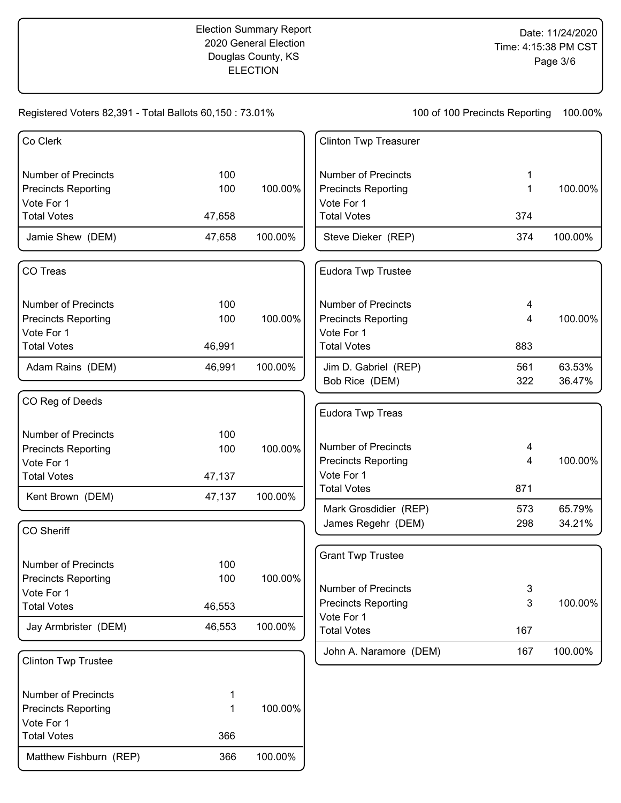## Election Summary Report 2020 General Election Douglas County, KS ELECTION

Registered Voters 82,391 - Total Ballots 60,150 : 73.01%

| Co Clerk                         |        |         | <b>Clinton Twp Treasurer</b>                |            |                  |
|----------------------------------|--------|---------|---------------------------------------------|------------|------------------|
| <b>Number of Precincts</b>       | 100    |         | <b>Number of Precincts</b>                  | 1          |                  |
| <b>Precincts Reporting</b>       | 100    | 100.00% | <b>Precincts Reporting</b>                  | 1          | 100.00%          |
| Vote For 1                       |        |         | Vote For 1                                  |            |                  |
| <b>Total Votes</b>               | 47,658 |         | <b>Total Votes</b>                          | 374        |                  |
| Jamie Shew (DEM)                 | 47,658 | 100.00% | Steve Dieker (REP)                          | 374        | 100.00%          |
| CO Treas                         |        |         | Eudora Twp Trustee                          |            |                  |
| <b>Number of Precincts</b>       | 100    |         | <b>Number of Precincts</b>                  | 4          |                  |
| <b>Precincts Reporting</b>       | 100    | 100.00% | <b>Precincts Reporting</b>                  | 4          | 100.00%          |
| Vote For 1                       |        |         | Vote For 1                                  |            |                  |
| <b>Total Votes</b>               | 46,991 |         | <b>Total Votes</b>                          | 883        |                  |
| Adam Rains (DEM)                 | 46,991 | 100.00% | Jim D. Gabriel (REP)                        | 561        | 63.53%           |
|                                  |        |         | Bob Rice (DEM)                              | 322        | 36.47%           |
| CO Reg of Deeds                  |        |         |                                             |            |                  |
|                                  |        |         | Eudora Twp Treas                            |            |                  |
| <b>Number of Precincts</b>       | 100    |         |                                             |            |                  |
| <b>Precincts Reporting</b>       | 100    | 100.00% | <b>Number of Precincts</b>                  | 4          |                  |
| Vote For 1                       |        |         | <b>Precincts Reporting</b>                  | 4          | 100.00%          |
| <b>Total Votes</b>               | 47,137 |         | Vote For 1<br><b>Total Votes</b>            | 871        |                  |
| Kent Brown (DEM)                 | 47,137 | 100.00% |                                             |            |                  |
|                                  |        |         | Mark Grosdidier (REP)<br>James Regehr (DEM) | 573<br>298 | 65.79%<br>34.21% |
| <b>CO Sheriff</b>                |        |         |                                             |            |                  |
|                                  |        |         | <b>Grant Twp Trustee</b>                    |            |                  |
| <b>Number of Precincts</b>       | 100    |         |                                             |            |                  |
| <b>Precincts Reporting</b>       | 100    | 100.00% | <b>Number of Precincts</b>                  | 3          |                  |
| Vote For 1<br><b>Total Votes</b> | 46,553 |         | <b>Precincts Reporting</b>                  | 3          | 100.00%          |
|                                  |        |         | Vote For 1                                  |            |                  |
| Jay Armbrister (DEM)             | 46,553 | 100.00% | <b>Total Votes</b>                          | 167        |                  |
| <b>Clinton Twp Trustee</b>       |        |         | John A. Naramore (DEM)                      | 167        | 100.00%          |
| <b>Number of Precincts</b>       | 1      |         |                                             |            |                  |
| <b>Precincts Reporting</b>       | 1      | 100.00% |                                             |            |                  |
| Vote For 1                       |        |         |                                             |            |                  |
| <b>Total Votes</b>               | 366    |         |                                             |            |                  |
| Matthew Fishburn (REP)           | 366    | 100.00% |                                             |            |                  |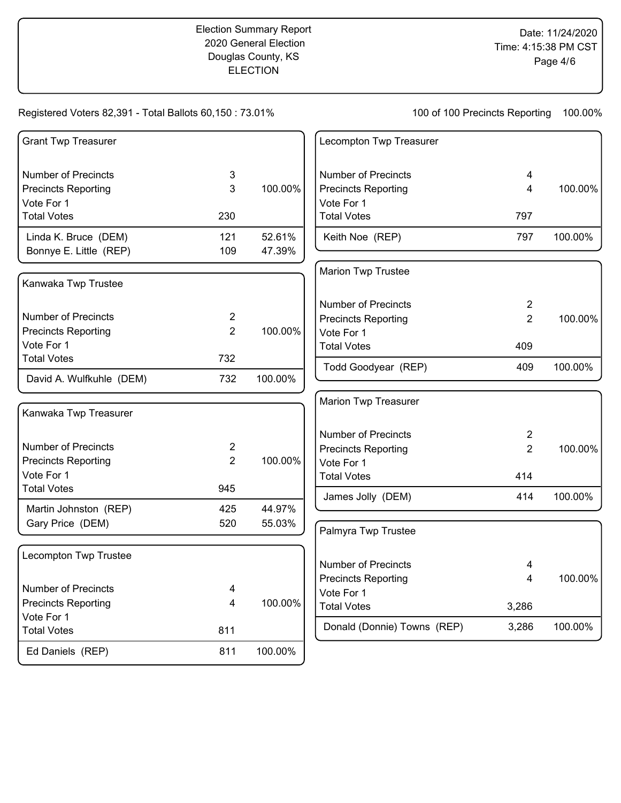# Registered Voters 82,391 - Total Ballots 60,150 : 73.01%

| <b>Grant Twp Treasurer</b> |                  |         | Lecompton Twp Treasurer          |                |         |
|----------------------------|------------------|---------|----------------------------------|----------------|---------|
| <b>Number of Precincts</b> | 3                |         | <b>Number of Precincts</b>       | 4              |         |
| <b>Precincts Reporting</b> | 3                | 100.00% | <b>Precincts Reporting</b>       | $\overline{4}$ | 100.00% |
| Vote For 1                 |                  |         | Vote For 1                       |                |         |
| <b>Total Votes</b>         | 230              |         | <b>Total Votes</b>               | 797            |         |
| Linda K. Bruce (DEM)       | 121              | 52.61%  | Keith Noe (REP)                  | 797            | 100.00% |
| Bonnye E. Little (REP)     | 109              | 47.39%  |                                  |                |         |
|                            |                  |         | Marion Twp Trustee               |                |         |
| Kanwaka Twp Trustee        |                  |         |                                  |                |         |
|                            |                  |         | <b>Number of Precincts</b>       | $\overline{2}$ |         |
| <b>Number of Precincts</b> | $\overline{c}$   |         | <b>Precincts Reporting</b>       | $\overline{2}$ | 100.00% |
| <b>Precincts Reporting</b> | $\overline{2}$   | 100.00% | Vote For 1                       |                |         |
| Vote For 1                 |                  |         | <b>Total Votes</b>               | 409            |         |
| <b>Total Votes</b>         | 732              |         | Todd Goodyear (REP)              | 409            | 100.00% |
| David A. Wulfkuhle (DEM)   | 732              | 100.00% |                                  |                |         |
|                            |                  |         | Marion Twp Treasurer             |                |         |
| Kanwaka Twp Treasurer      |                  |         |                                  |                |         |
|                            |                  |         | <b>Number of Precincts</b>       | $\overline{2}$ |         |
| <b>Number of Precincts</b> | $\boldsymbol{2}$ |         | <b>Precincts Reporting</b>       | $\overline{2}$ | 100.00% |
| <b>Precincts Reporting</b> | $\overline{2}$   | 100.00% | Vote For 1                       |                |         |
| Vote For 1                 |                  |         | <b>Total Votes</b>               | 414            |         |
| <b>Total Votes</b>         | 945              |         | James Jolly (DEM)                | 414            | 100.00% |
| Martin Johnston (REP)      | 425              | 44.97%  |                                  |                |         |
| Gary Price (DEM)           | 520              | 55.03%  | Palmyra Twp Trustee              |                |         |
|                            |                  |         |                                  |                |         |
| Lecompton Twp Trustee      |                  |         |                                  |                |         |
|                            |                  |         | <b>Number of Precincts</b>       | 4              |         |
| <b>Number of Precincts</b> | 4                |         | <b>Precincts Reporting</b>       | 4              | 100.00% |
| <b>Precincts Reporting</b> | 4                | 100.00% | Vote For 1<br><b>Total Votes</b> |                |         |
| Vote For 1                 |                  |         |                                  | 3,286          |         |
| <b>Total Votes</b>         | 811              |         | Donald (Donnie) Towns (REP)      | 3,286          | 100.00% |
| Ed Daniels (REP)           | 811              | 100.00% |                                  |                |         |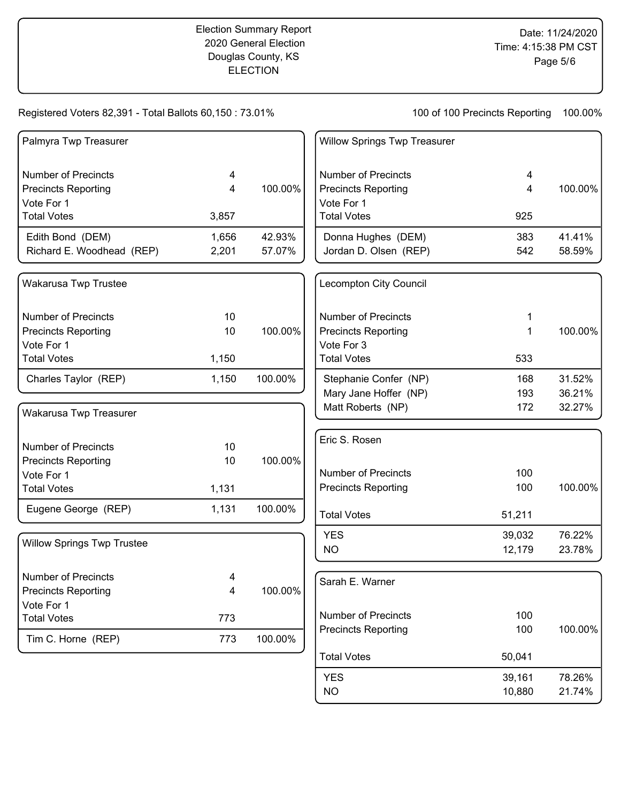#### Registered Voters 82,391 - Total Ballots 60,150 : 73.01%

100 of 100 Precincts Reporting 100.00%

NO 10,880 21.74%

| Palmyra Twp Treasurer             |                |         | <b>Willow Springs Twp Treasurer</b> |        |         |
|-----------------------------------|----------------|---------|-------------------------------------|--------|---------|
| <b>Number of Precincts</b>        | 4              |         | <b>Number of Precincts</b>          | 4      |         |
| <b>Precincts Reporting</b>        | 4              | 100.00% | <b>Precincts Reporting</b>          | 4      | 100.00% |
| Vote For 1                        |                |         | Vote For 1                          |        |         |
| <b>Total Votes</b>                | 3,857          |         | <b>Total Votes</b>                  | 925    |         |
| Edith Bond (DEM)                  | 1,656          | 42.93%  | Donna Hughes (DEM)                  | 383    | 41.41%  |
| Richard E. Woodhead (REP)         | 2,201          | 57.07%  | Jordan D. Olsen (REP)               | 542    | 58.59%  |
| Wakarusa Twp Trustee              |                |         | <b>Lecompton City Council</b>       |        |         |
| <b>Number of Precincts</b>        | 10             |         | <b>Number of Precincts</b>          | 1      |         |
| <b>Precincts Reporting</b>        | 10             | 100.00% | <b>Precincts Reporting</b>          | 1      | 100.00% |
| Vote For 1                        |                |         | Vote For 3                          |        |         |
| <b>Total Votes</b>                | 1,150          |         | <b>Total Votes</b>                  | 533    |         |
| Charles Taylor (REP)              | 1,150          | 100.00% | Stephanie Confer (NP)               | 168    | 31.52%  |
|                                   |                |         | Mary Jane Hoffer (NP)               | 193    | 36.21%  |
| Wakarusa Twp Treasurer            |                |         | Matt Roberts (NP)                   | 172    | 32.27%  |
| <b>Number of Precincts</b>        | 10             |         | Eric S. Rosen                       |        |         |
| <b>Precincts Reporting</b>        | 10             | 100.00% |                                     |        |         |
| Vote For 1                        |                |         | <b>Number of Precincts</b>          | 100    |         |
| <b>Total Votes</b>                | 1,131          |         | <b>Precincts Reporting</b>          | 100    | 100.00% |
| Eugene George (REP)               | 1,131          | 100.00% | <b>Total Votes</b>                  | 51,211 |         |
|                                   |                |         | <b>YES</b>                          | 39,032 | 76.22%  |
| <b>Willow Springs Twp Trustee</b> |                |         | NO                                  | 12,179 | 23.78%  |
| <b>Number of Precincts</b>        | 4              |         | Sarah E. Warner                     |        |         |
| <b>Precincts Reporting</b>        | $\overline{4}$ | 100.00% |                                     |        |         |
| Vote For 1                        |                |         |                                     |        |         |
| <b>Total Votes</b>                | 773            |         | <b>Number of Precincts</b>          | 100    |         |
| Tim C. Horne (REP)                | 773            | 100.00% | <b>Precincts Reporting</b>          | 100    | 100.00% |
|                                   |                |         | <b>Total Votes</b>                  | 50,041 |         |
|                                   |                |         | <b>YES</b>                          | 39,161 | 78.26%  |